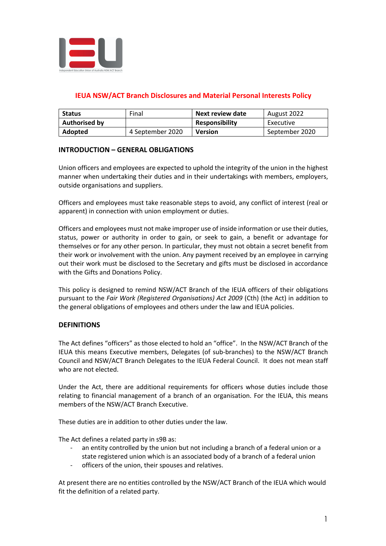

# **IEUA NSW/ACT Branch Disclosures and Material Personal Interests Policy**

| <b>Status</b>        | Final            | Next review date      | August 2022    |
|----------------------|------------------|-----------------------|----------------|
| <b>Authorised by</b> |                  | <b>Responsibility</b> | Executive      |
| <b>Adopted</b>       | 4 September 2020 | <b>Version</b>        | September 2020 |

## **INTRODUCTION – GENERAL OBLIGATIONS**

Union officers and employees are expected to uphold the integrity of the union in the highest manner when undertaking their duties and in their undertakings with members, employers, outside organisations and suppliers.

Officers and employees must take reasonable steps to avoid, any conflict of interest (real or apparent) in connection with union employment or duties.

Officers and employees must not make improper use of inside information or use their duties, status, power or authority in order to gain, or seek to gain, a benefit or advantage for themselves or for any other person. In particular, they must not obtain a secret benefit from their work or involvement with the union. Any payment received by an employee in carrying out their work must be disclosed to the Secretary and gifts must be disclosed in accordance with the Gifts and Donations Policy.

This policy is designed to remind NSW/ACT Branch of the IEUA officers of their obligations pursuant to the *Fair Work (Registered Organisations) Act 2009* (Cth) (the Act) in addition to the general obligations of employees and others under the law and IEUA policies.

## **DEFINITIONS**

The Act defines "officers" as those elected to hold an "office". In the NSW/ACT Branch of the IEUA this means Executive members, Delegates (of sub-branches) to the NSW/ACT Branch Council and NSW/ACT Branch Delegates to the IEUA Federal Council. It does not mean staff who are not elected.

Under the Act, there are additional requirements for officers whose duties include those relating to financial management of a branch of an organisation. For the IEUA, this means members of the NSW/ACT Branch Executive.

These duties are in addition to other duties under the law.

The Act defines a related party in s9B as:

- an entity controlled by the union but not including a branch of a federal union or a state registered union which is an associated body of a branch of a federal union
- officers of the union, their spouses and relatives.

At present there are no entities controlled by the NSW/ACT Branch of the IEUA which would fit the definition of a related party.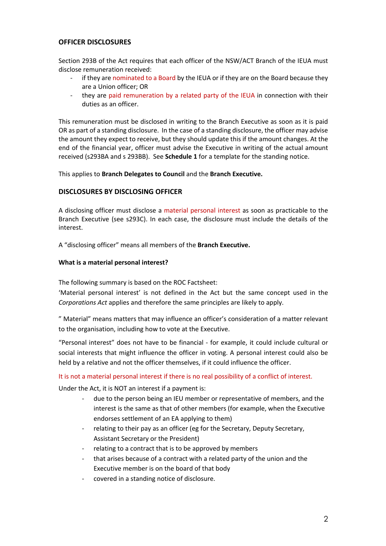# **OFFICER DISCLOSURES**

Section 293B of the Act requires that each officer of the NSW/ACT Branch of the IEUA must disclose remuneration received:

- if they are nominated to a Board by the IEUA or if they are on the Board because they are a Union officer; OR
- they are paid remuneration by a related party of the IEUA in connection with their duties as an officer.

This remuneration must be disclosed in writing to the Branch Executive as soon as it is paid OR as part of a standing disclosure. In the case of a standing disclosure, the officer may advise the amount they expect to receive, but they should update this if the amount changes. At the end of the financial year, officer must advise the Executive in writing of the actual amount received (s293BA and s 293BB). See **Schedule 1** for a template for the standing notice.

This applies to **Branch Delegates to Council** and the **Branch Executive.** 

## **DISCLOSURES BY DISCLOSING OFFICER**

A disclosing officer must disclose a material personal interest as soon as practicable to the Branch Executive (see s293C). In each case, the disclosure must include the details of the interest.

A "disclosing officer" means all members of the **Branch Executive.** 

### **What is a material personal interest?**

The following summary is based on the ROC Factsheet:

'Material personal interest' is not defined in the Act but the same concept used in the *Corporations Act* applies and therefore the same principles are likely to apply.

" Material" means matters that may influence an officer's consideration of a matter relevant to the organisation, including how to vote at the Executive.

"Personal interest" does not have to be financial - for example, it could include cultural or social interests that might influence the officer in voting. A personal interest could also be held by a relative and not the officer themselves, if it could influence the officer.

#### It is not a material personal interest if there is no real possibility of a conflict of interest.

Under the Act, it is NOT an interest if a payment is:

- due to the person being an IEU member or representative of members, and the interest is the same as that of other members (for example, when the Executive endorses settlement of an EA applying to them)
- relating to their pay as an officer (eg for the Secretary, Deputy Secretary, Assistant Secretary or the President)
- relating to a contract that is to be approved by members
- that arises because of a contract with a related party of the union and the Executive member is on the board of that body
- covered in a standing notice of disclosure.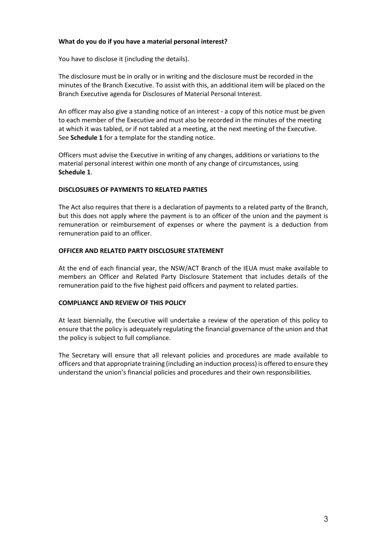### **What do you do if you have a material personal interest?**

You have to disclose it (including the details).

The disclosure must be in orally or in writing and the disclosure must be recorded in the minutes of the Branch Executive. To assist with this, an additional item will be placed on the Branch Executive agenda for Disclosures of Material Personal Interest.

An officer may also give a standing notice of an interest - a copy of this notice must be given to each member of the Executive and must also be recorded in the minutes of the meeting at which it was tabled, or if not tabled at a meeting, at the next meeting of the Executive. See **Schedule 1** for a template for the standing notice.

Officers must advise the Executive in writing of any changes, additions or variations to the material personal interest within one month of any change of circumstances, using **Schedule 1**.

### **DISCLOSURES OF PAYMENTS TO RELATED PARTIES**

The Act also requires that there is a declaration of payments to a related party of the Branch, but this does not apply where the payment is to an officer of the union and the payment is remuneration or reimbursement of expenses or where the payment is a deduction from remuneration paid to an officer.

### **OFFICER AND RELATED PARTY DISCLOSURE STATEMENT**

At the end of each financial year, the NSW/ACT Branch of the IEUA must make available to members an Officer and Related Party Disclosure Statement that includes details of the remuneration paid to the five highest paid officers and payment to related parties.

#### **COMPLIANCE AND REVIEW OF THIS POLICY**

At least biennially, the Executive will undertake a review of the operation of this policy to ensure that the policy is adequately regulating the financial governance of the union and that the policy is subject to full compliance.

The Secretary will ensure that all relevant policies and procedures are made available to officers and that appropriate training (including an induction process) is offered to ensure they understand the union's financial policies and procedures and their own responsibilities.